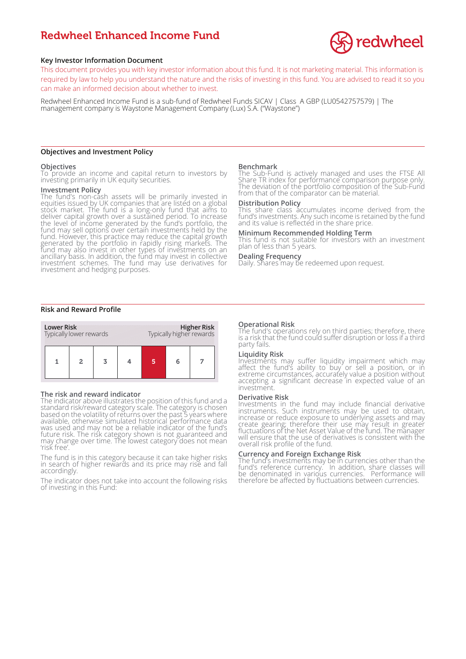# Redwheel Enhanced Income Fund



# **Key Investor Information Document**

This document provides you with key investor information about this fund. It is not marketing material. This information is required by law to help you understand the nature and the risks of investing in this fund. You are advised to read it so you can make an informed decision about whether to invest.

Redwheel Enhanced Income Fund is a sub-fund of Redwheel Funds SICAV | Class A GBP (LU0542757579) | The management company is Waystone Management Company (Lux) S.A. ("Waystone")

## **Objectives and Investment Policy**

## **Objectives**

To provide an income and capital return to investors by investing primarily in UK equity securities.

#### **Investment Policy**

The fund's non-cash assets will be primarily invested in equities issued by UK companies that are listed on a global stock market. The fund is a long-only fund that aims to deliver capital growth over a sustained period. To increase the level of income generated by the fund's portfolio, the fund may sell options over certain investments held by the fund. However, this practice may reduce the capital growth generated by the portfolio in rapidly rising markets. The fund may also invest in other types of investments on an ancillary basis. In addition, the fund may invest in collective investment schemes. The fund may use derivatives for investment and hedging purposes.

## **Risk and Reward Profile**



## **The risk and reward indicator**

The indicator above illustrates the position of this fund and a standard risk/reward category scale. The category is chosen based on the volatility of returns over the past 5 years where available, otherwise simulated historical performance data was used and may not be a reliable indicator of the fund's future risk. The risk category shown is not guaranteed and may change over time. The lowest category does not mean 'risk free'.

The fund is in this category because it can take higher risks in search of higher rewards and its price may rise and fall accordingly.

The indicator does not take into account the following risks of investing in this Fund:

#### **Benchmark**

The Sub-Fund is actively managed and uses the FTSE All Share TR index for performance comparison purpose only. The deviation of the portfolio composition of the Sub-Fund from that of the comparator can be material.

## **Distribution Policy**

This share class accumulates income derived from the fund's investments. Any such income is retained by the fund and its value is reflected in the share price.

# **Minimum Recommended Holding Term**

This fund is not suitable for investors with an investment plan of less than 5 years.

# **Dealing Frequency**

Daily. Shares may be redeemed upon request.

## **Operational Risk**

The fund's operations rely on third parties; therefore, there is a risk that the fund could suffer disruption or loss if a third party fails.

# **Liquidity Risk**

Investments may suffer liquidity impairment which may affect the fund's ability to buy or sell a position, or in extreme circumstances, accurately value a position without accepting a significant decrease in expected value of an investment.

#### **Derivative Risk**

Investments in the fund may include financial derivative instruments. Such instruments may be used to obtain, increase or reduce exposure to underlying assets and may create gearing; therefore their use may result in greater fluctuations of the Net Asset Value of the fund. The manager will ensure that the use of derivatives is consistent with the overall risk profile of the fund.

#### **Currency and Foreign Exchange Risk**

The fund's investments may be in currencies other than the fund's reference currency. In addition, share classes will be denominated in various currencies. Performance will therefore be affected by fluctuations between currencies.